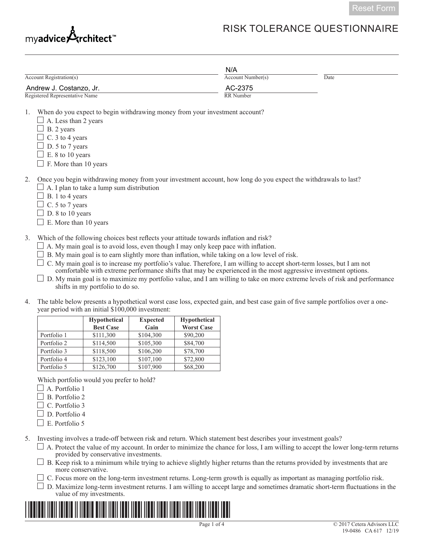

# RISK TOLERANCE QUESTIONNAIRE

|                                                                                                                                                                                                                                                                                                        | N/A               |      |
|--------------------------------------------------------------------------------------------------------------------------------------------------------------------------------------------------------------------------------------------------------------------------------------------------------|-------------------|------|
| Account Registration(s)                                                                                                                                                                                                                                                                                | Account Number(s) | Date |
| Andrew J. Costanzo, Jr.                                                                                                                                                                                                                                                                                | AC-2375           |      |
| Registered Representative Name                                                                                                                                                                                                                                                                         | RR Number         |      |
| When do you expect to begin withdrawing money from your investment account?<br>1.<br>A. Less than 2 years<br>B. 2 years<br>C. 3 to 4 years<br>D. 5 to 7 years<br>E. 8 to 10 years<br>F. More than 10 years                                                                                             |                   |      |
| Once you begin withdrawing money from your investment account, how long do you expect the withdrawals to last?<br>2.<br>$\perp$ A. I plan to take a lump sum distribution<br>B. 1 to 4 years<br>C. 5 to 7 years<br>D. 8 to 10 years<br>E. More than 10 years                                           |                   |      |
| Which of the following choices best reflects your attitude towards inflation and risk?<br>3.<br>$\Box$ A. My main goal is to avoid loss, even though I may only keep pace with inflation.<br>D. Margareta eta 1 izaten zen. eti eta baitarren aldean influentzatu autatean zuen 1 erretarreta aldeatze |                   |      |

 $\Box$  B. My main goal is to earn slightly more than inflation, while taking on a low level of risk.

 $\Box$  C. My main goal is to increase my portfolio's value. Therefore, I am willing to accept short-term losses, but I am not comfortable with extreme performance shifts that may be experienced in the most aggressive investment options.

 $\square$  D. My main goal is to maximize my portfolio value, and I am willing to take on more extreme levels of risk and performance shifts in my portfolio to do so.

4. The table below presents a hypothetical worst case loss, expected gain, and best case gain of five sample portfolios over a oneyear period with an initial \$100,000 investment:

|             | <b>Hypothetical</b> | <b>Expected</b> | <b>Hypothetical</b> |
|-------------|---------------------|-----------------|---------------------|
|             | <b>Best Case</b>    | Gain            | <b>Worst Case</b>   |
| Portfolio 1 | \$111,300           | \$104,300       | \$90,200            |
| Portfolio 2 | \$114,500           | \$105,300       | \$84,700            |
| Portfolio 3 | \$118,500           | \$106,200       | \$78,700            |
| Portfolio 4 | \$123,100           | \$107,100       | \$72,800            |
| Portfolio 5 | \$126,700           | \$107,900       | \$68,200            |

Which portfolio would you prefer to hold?

- $\Box$  A. Portfolio 1
- $\Box$  B. Portfolio 2
- $\Box$  C. Portfolio 3
- $\Box$  D. Portfolio 4
- $\Box$  E. Portfolio 5

5. Investing involves a trade-off between risk and return. Which statement best describes your investment goals?

 $\Box$  A. Protect the value of my account. In order to minimize the chance for loss, I am willing to accept the lower long-term returns provided by conservative investments.

 $\Box$  B. Keep risk to a minimum while trying to achieve slightly higher returns than the returns provided by investments that are more conservative.

- $\Box$  C. Focus more on the long-term investment returns. Long-term growth is equally as important as managing portfolio risk.
- D. Maximize long-term investment returns. I am willing to accept large and sometimes dramatic short-term fluctuations in the value of my investments.

\*CAS-617-------\*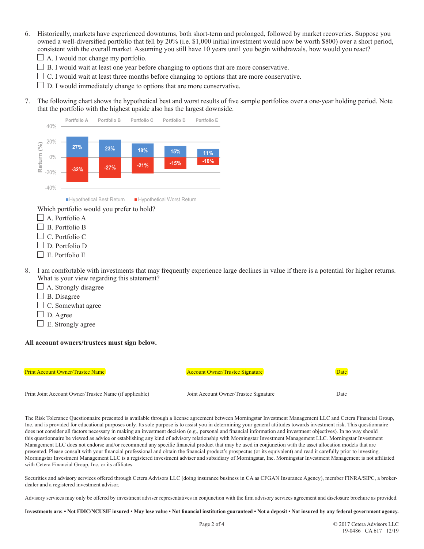- 6. Historically, markets have experienced downturns, both short-term and prolonged, followed by market recoveries. Suppose you owned a well-diversified portfolio that fell by 20% (i.e. \$1,000 initial investment would now be worth \$800) over a short period, consistent with the overall market. Assuming you still have 10 years until you begin withdrawals, how would you react?
	- $\Box$  A. I would not change my portfolio.
	- $\Box$  B. I would wait at least one year before changing to options that are more conservative.
	- $\Box$  C. I would wait at least three months before changing to options that are more conservative.
	- $\Box$  D. I would immediately change to options that are more conservative.
- 7. The following chart shows the hypothetical best and worst results of five sample portfolios over a one-year holding period. Note that the portfolio with the highest upside also has the largest downside.



- $\Box$  A. Portfolio A
- B. Portfolio B
- C. Portfolio C
- D. Portfolio D
- $\Box$  E. Portfolio E.
- 8. I am comfortable with investments that may frequently experience large declines in value if there is a potential for higher returns. What is your view regarding this statement?
	- $\Box$  A. Strongly disagree
	- B. Disagree
	- $\Box$  C. Somewhat agree
	- $\Box$  D. Agree
	- $\Box$  E. Strongly agree

#### **All account owners/trustees must sign below.**



The Risk Tolerance Questionnaire presented is available through a license agreement between Morningstar Investment Management LLC and Cetera Financial Group, Inc. and is provided for educational purposes only. Its sole purpose is to assist you in determining your general attitudes towards investment risk. This questionnaire does not consider all factors necessary in making an investment decision (e.g., personal and financial information and investment objectives). In no way should this questionnaire be viewed as advice or establishing any kind of advisory relationship with Morningstar Investment Management LLC. Morningstar Investment Management LLC does not endorse and/or recommend any specific financial product that may be used in conjunction with the asset allocation models that are presented. Please consult with your financial professional and obtain the financial product's prospectus (or its equivalent) and read it carefully prior to investing. Morningstar Investment Management LLC is a registered investment adviser and subsidiary of Morningstar, Inc. Morningstar Investment Management is not affiliated with Cetera Financial Group, Inc. or its affiliates.

Securities and advisory services offered through Cetera Advisors LLC (doing insurance business in CA as CFGAN Insurance Agency), member FINRA/SIPC, a brokerdealer and a registered investment advisor.

Advisory services may only be offered by investment adviser representatives in conjunction with the firm advisory services agreement and disclosure brochure as provided.

**Investments are: • Not FDIC/NCUSIF insured • May lose value • Not financial institution guaranteed • Not a deposit • Not insured by any federal government agency.**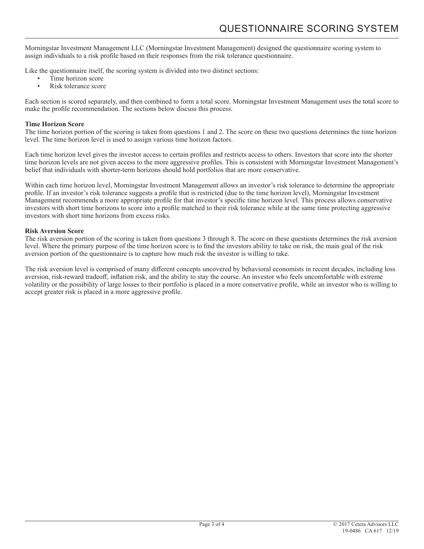Morningstar Investment Management LLC (Morningstar Investment Management) designed the questionnaire scoring system to assign individuals to a risk profile based on their responses from the risk tolerance questionnaire.

Like the questionnaire itself, the scoring system is divided into two distinct sections:

- Time horizon score
- Risk tolerance score

Each section is scored separately, and then combined to form a total score. Morningstar Investment Management uses the total score to make the profile recommendation. The sections below discuss this process.

## **Time Horizon Score**

The time horizon portion of the scoring is taken from questions 1 and 2. The score on these two questions determines the time horizon level. The time horizon level is used to assign various time horizon factors.

Each time horizon level gives the investor access to certain profiles and restricts access to others. Investors that score into the shorter time horizon levels are not given access to the more aggressive profiles. This is consistent with Morningstar Investment Management's belief that individuals with shorter-term horizons should hold portfolios that are more conservative.

Within each time horizon level, Morningstar Investment Management allows an investor's risk tolerance to determine the appropriate profile. If an investor's risk tolerance suggests a profile that is restricted (due to the time horizon level), Morningstar Investment Management recommends a more appropriate profile for that investor's specific time horizon level. This process allows conservative investors with short time horizons to score into a profile matched to their risk tolerance while at the same time protecting aggressive investors with short time horizons from excess risks.

## **Risk Aversion Score**

The risk aversion portion of the scoring is taken from questions 3 through 8. The score on these questions determines the risk aversion level. Where the primary purpose of the time horizon score is to find the investors ability to take on risk, the main goal of the risk aversion portion of the questionnaire is to capture how much risk the investor is willing to take.

The risk aversion level is comprised of many different concepts uncovered by behavioral economists in recent decades, including loss aversion, risk-reward tradeoff, inflation risk, and the ability to stay the course. An investor who feels uncomfortable with extreme volatility or the possibility of large losses to their portfolio is placed in a more conservative profile, while an investor who is willing to accept greater risk is placed in a more aggressive profile.